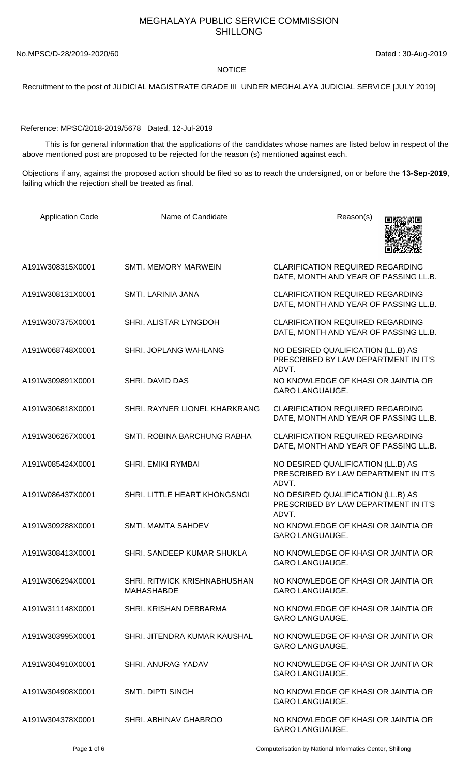## MEGHALAYA PUBLIC SERVICE COMMISSION SHILLONG

No.MPSC/D-28/2019-2020/60 Dated : 30-Aug-2019

## **NOTICE**

Recruitment to the post of JUDICIAL MAGISTRATE GRADE III UNDER MEGHALAYA JUDICIAL SERVICE [JULY 2019]

Reference: MPSC/2018-2019/5678 Dated, 12-Jul-2019

 This is for general information that the applications of the candidates whose names are listed below in respect of the above mentioned post are proposed to be rejected for the reason (s) mentioned against each.

Objections if any, against the proposed action should be filed so as to reach the undersigned, on or before the **13-Sep-2019**, failing which the rejection shall be treated as final.

| <b>Application Code</b> | Name of Candidate                                        | Reason(s)                                                                           |
|-------------------------|----------------------------------------------------------|-------------------------------------------------------------------------------------|
| A191W308315X0001        | <b>SMTI. MEMORY MARWEIN</b>                              | <b>CLARIFICATION REQUIRED REGARDING</b><br>DATE, MONTH AND YEAR OF PASSING LL.B.    |
| A191W308131X0001        | SMTI. LARINIA JANA                                       | <b>CLARIFICATION REQUIRED REGARDING</b><br>DATE, MONTH AND YEAR OF PASSING LL.B.    |
| A191W307375X0001        | SHRI. ALISTAR LYNGDOH                                    | <b>CLARIFICATION REQUIRED REGARDING</b><br>DATE, MONTH AND YEAR OF PASSING LL.B.    |
| A191W068748X0001        | SHRI. JOPLANG WAHLANG                                    | NO DESIRED QUALIFICATION (LL.B) AS<br>PRESCRIBED BY LAW DEPARTMENT IN IT'S<br>ADVT. |
| A191W309891X0001        | SHRI. DAVID DAS                                          | NO KNOWLEDGE OF KHASI OR JAINTIA OR<br><b>GARO LANGUAUGE.</b>                       |
| A191W306818X0001        | SHRI. RAYNER LIONEL KHARKRANG                            | <b>CLARIFICATION REQUIRED REGARDING</b><br>DATE, MONTH AND YEAR OF PASSING LL.B.    |
| A191W306267X0001        | SMTI. ROBINA BARCHUNG RABHA                              | <b>CLARIFICATION REQUIRED REGARDING</b><br>DATE, MONTH AND YEAR OF PASSING LL.B.    |
| A191W085424X0001        | SHRI. EMIKI RYMBAI                                       | NO DESIRED QUALIFICATION (LL.B) AS<br>PRESCRIBED BY LAW DEPARTMENT IN IT'S<br>ADVT. |
| A191W086437X0001        | SHRI. LITTLE HEART KHONGSNGI                             | NO DESIRED QUALIFICATION (LL.B) AS<br>PRESCRIBED BY LAW DEPARTMENT IN IT'S<br>ADVT. |
| A191W309288X0001        | <b>SMTI. MAMTA SAHDEV</b>                                | NO KNOWLEDGE OF KHASI OR JAINTIA OR<br><b>GARO LANGUAUGE.</b>                       |
| A191W308413X0001        | SHRI. SANDEEP KUMAR SHUKLA                               | NO KNOWLEDGE OF KHASI OR JAINTIA OR<br><b>GARO LANGUAUGE.</b>                       |
| A191W306294X0001        | <b>SHRI. RITWICK KRISHNABHUSHAN</b><br><b>MAHASHABDE</b> | NO KNOWLEDGE OF KHASI OR JAINTIA OR<br><b>GARO LANGUAUGE.</b>                       |
| A191W311148X0001        | SHRI. KRISHAN DEBBARMA                                   | NO KNOWLEDGE OF KHASI OR JAINTIA OR<br><b>GARO LANGUAUGE.</b>                       |
| A191W303995X0001        | SHRI. JITENDRA KUMAR KAUSHAL                             | NO KNOWLEDGE OF KHASI OR JAINTIA OR<br><b>GARO LANGUAUGE.</b>                       |
| A191W304910X0001        | <b>SHRI. ANURAG YADAV</b>                                | NO KNOWLEDGE OF KHASI OR JAINTIA OR<br><b>GARO LANGUAUGE.</b>                       |
| A191W304908X0001        | <b>SMTI. DIPTI SINGH</b>                                 | NO KNOWLEDGE OF KHASI OR JAINTIA OR<br><b>GARO LANGUAUGE.</b>                       |
| A191W304378X0001        | SHRI. ABHINAV GHABROO                                    | NO KNOWLEDGE OF KHASI OR JAINTIA OR<br><b>GARO LANGUAUGE.</b>                       |

Page 1 of 6 Computerisation by National Informatics Center, Shillong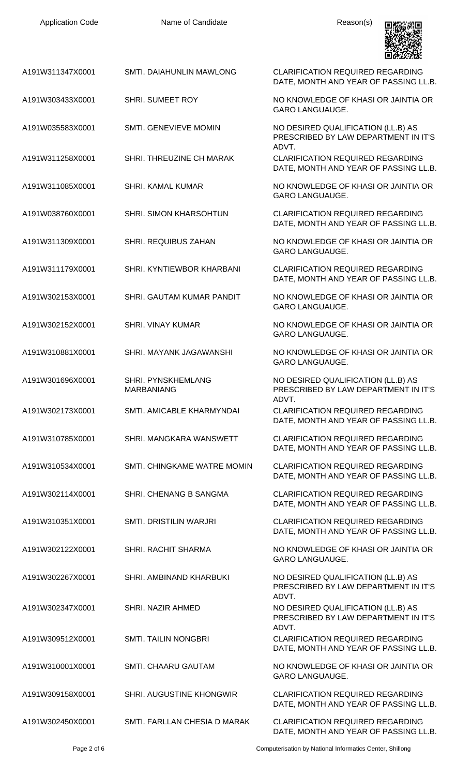| <b>Application Code</b> | Name of Candidate                              | Reason(s)                                                                           |
|-------------------------|------------------------------------------------|-------------------------------------------------------------------------------------|
| A191W311347X0001        | SMTI. DAIAHUNLIN MAWLONG                       | <b>CLARIFICATION REQUIRED REGARDING</b><br>DATE, MONTH AND YEAR OF PASSING LL.B.    |
| A191W303433X0001        | <b>SHRI. SUMEET ROY</b>                        | NO KNOWLEDGE OF KHASI OR JAINTIA OR<br><b>GARO LANGUAUGE.</b>                       |
| A191W035583X0001        | SMTI. GENEVIEVE MOMIN                          | NO DESIRED QUALIFICATION (LL.B) AS<br>PRESCRIBED BY LAW DEPARTMENT IN IT'S<br>ADVT. |
| A191W311258X0001        | SHRI. THREUZINE CH MARAK                       | <b>CLARIFICATION REQUIRED REGARDING</b><br>DATE, MONTH AND YEAR OF PASSING LL.B.    |
| A191W311085X0001        | <b>SHRI. KAMAL KUMAR</b>                       | NO KNOWLEDGE OF KHASI OR JAINTIA OR<br><b>GARO LANGUAUGE.</b>                       |
| A191W038760X0001        | SHRI. SIMON KHARSOHTUN                         | <b>CLARIFICATION REQUIRED REGARDING</b><br>DATE, MONTH AND YEAR OF PASSING LL.B.    |
| A191W311309X0001        | SHRI. REQUIBUS ZAHAN                           | NO KNOWLEDGE OF KHASI OR JAINTIA OR<br><b>GARO LANGUAUGE.</b>                       |
| A191W311179X0001        | SHRI. KYNTIEWBOR KHARBANI                      | <b>CLARIFICATION REQUIRED REGARDING</b><br>DATE, MONTH AND YEAR OF PASSING LL.B.    |
| A191W302153X0001        | SHRI. GAUTAM KUMAR PANDIT                      | NO KNOWLEDGE OF KHASI OR JAINTIA OR<br><b>GARO LANGUAUGE.</b>                       |
| A191W302152X0001        | <b>SHRI. VINAY KUMAR</b>                       | NO KNOWLEDGE OF KHASI OR JAINTIA OR<br><b>GARO LANGUAUGE.</b>                       |
| A191W310881X0001        | <b>SHRI. MAYANK JAGAWANSHI</b>                 | NO KNOWLEDGE OF KHASI OR JAINTIA OR<br><b>GARO LANGUAUGE.</b>                       |
| A191W301696X0001        | <b>SHRI. PYNSKHEMLANG</b><br><b>MARBANIANG</b> | NO DESIRED QUALIFICATION (LL.B) AS<br>PRESCRIBED BY LAW DEPARTMENT IN IT'S<br>ADVT. |
| A191W302173X0001        | SMTI, AMICABLE KHARMYNDAI                      | <b>CLARIFICATION REQUIRED REGARDING</b><br>DATE, MONTH AND YEAR OF PASSING LL.B.    |
| A191W310785X0001        | SHRI. MANGKARA WANSWETT                        | <b>CLARIFICATION REQUIRED REGARDING</b><br>DATE, MONTH AND YEAR OF PASSING LL.B.    |
| A191W310534X0001        | SMTI. CHINGKAME WATRE MOMIN                    | <b>CLARIFICATION REQUIRED REGARDING</b><br>DATE, MONTH AND YEAR OF PASSING LL.B.    |
| A191W302114X0001        | SHRI. CHENANG B SANGMA                         | <b>CLARIFICATION REQUIRED REGARDING</b><br>DATE, MONTH AND YEAR OF PASSING LL.B.    |
| A191W310351X0001        | <b>SMTI. DRISTILIN WARJRI</b>                  | <b>CLARIFICATION REQUIRED REGARDING</b><br>DATE, MONTH AND YEAR OF PASSING LL.B.    |
| A191W302122X0001        | <b>SHRI. RACHIT SHARMA</b>                     | NO KNOWLEDGE OF KHASI OR JAINTIA OR<br><b>GARO LANGUAUGE.</b>                       |
| A191W302267X0001        | SHRI, AMBINAND KHARBUKI                        | NO DESIRED QUALIFICATION (LL.B) AS<br>PRESCRIBED BY LAW DEPARTMENT IN IT'S<br>ADVT. |
| A191W302347X0001        | SHRI. NAZIR AHMED                              | NO DESIRED QUALIFICATION (LL.B) AS<br>PRESCRIBED BY LAW DEPARTMENT IN IT'S<br>ADVT. |
| A191W309512X0001        | <b>SMTI. TAILIN NONGBRI</b>                    | <b>CLARIFICATION REQUIRED REGARDING</b><br>DATE, MONTH AND YEAR OF PASSING LL.B.    |
| A191W310001X0001        | <b>SMTI. CHAARU GAUTAM</b>                     | NO KNOWLEDGE OF KHASI OR JAINTIA OR<br><b>GARO LANGUAUGE.</b>                       |
| A191W309158X0001        | SHRI. AUGUSTINE KHONGWIR                       | <b>CLARIFICATION REQUIRED REGARDING</b><br>DATE, MONTH AND YEAR OF PASSING LL.B.    |
| A191W302450X0001        | SMTI. FARLLAN CHESIA D MARAK                   | <b>CLARIFICATION REQUIRED REGARDING</b><br>DATE, MONTH AND YEAR OF PASSING LL.B.    |

Page 2 of 6 Computerisation by National Informatics Center, Shillong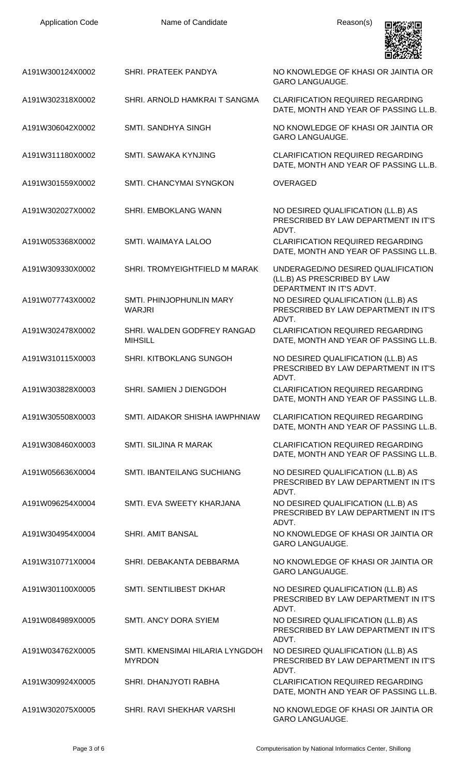| <b>Application Code</b> | Name of Candidate                                | Reason(s)                                                                                     |
|-------------------------|--------------------------------------------------|-----------------------------------------------------------------------------------------------|
| A191W300124X0002        | SHRI. PRATEEK PANDYA                             | NO KNOWLEDGE OF KHASI OR JAINTIA OR<br><b>GARO LANGUAUGE.</b>                                 |
| A191W302318X0002        | SHRI. ARNOLD HAMKRAI T SANGMA                    | <b>CLARIFICATION REQUIRED REGARDING</b><br>DATE, MONTH AND YEAR OF PASSING LL.B.              |
| A191W306042X0002        | <b>SMTI. SANDHYA SINGH</b>                       | NO KNOWLEDGE OF KHASI OR JAINTIA OR<br><b>GARO LANGUAUGE.</b>                                 |
| A191W311180X0002        | SMTI. SAWAKA KYNJING                             | <b>CLARIFICATION REQUIRED REGARDING</b><br>DATE, MONTH AND YEAR OF PASSING LL.B.              |
| A191W301559X0002        | SMTI. CHANCYMAI SYNGKON                          | <b>OVERAGED</b>                                                                               |
| A191W302027X0002        | SHRI. EMBOKLANG WANN                             | NO DESIRED QUALIFICATION (LL.B) AS<br>PRESCRIBED BY LAW DEPARTMENT IN IT'S<br>ADVT.           |
| A191W053368X0002        | SMTI. WAIMAYA LALOO                              | <b>CLARIFICATION REQUIRED REGARDING</b><br>DATE, MONTH AND YEAR OF PASSING LL.B.              |
| A191W309330X0002        | SHRI. TROMYEIGHTFIELD M MARAK                    | UNDERAGED/NO DESIRED QUALIFICATION<br>(LL.B) AS PRESCRIBED BY LAW<br>DEPARTMENT IN IT'S ADVT. |
| A191W077743X0002        | SMTI. PHINJOPHUNLIN MARY<br><b>WARJRI</b>        | NO DESIRED QUALIFICATION (LL.B) AS<br>PRESCRIBED BY LAW DEPARTMENT IN IT'S<br>ADVT.           |
| A191W302478X0002        | SHRI. WALDEN GODFREY RANGAD<br><b>MIHSILL</b>    | <b>CLARIFICATION REQUIRED REGARDING</b><br>DATE, MONTH AND YEAR OF PASSING LL.B.              |
| A191W310115X0003        | <b>SHRI. KITBOKLANG SUNGOH</b>                   | NO DESIRED QUALIFICATION (LL.B) AS<br>PRESCRIBED BY LAW DEPARTMENT IN IT'S<br>ADVT.           |
| A191W303828X0003        | SHRI. SAMIEN J DIENGDOH                          | <b>CLARIFICATION REQUIRED REGARDING</b><br>DATE, MONTH AND YEAR OF PASSING LL.B.              |
| A191W305508X0003        | SMTI. AIDAKOR SHISHA IAWPHNIAW                   | <b>CLARIFICATION REQUIRED REGARDING</b><br>DATE, MONTH AND YEAR OF PASSING LL.B.              |
| A191W308460X0003        | SMTI. SILJINA R MARAK                            | <b>CLARIFICATION REQUIRED REGARDING</b><br>DATE, MONTH AND YEAR OF PASSING LL.B.              |
| A191W056636X0004        | <b>SMTI. IBANTEILANG SUCHIANG</b>                | NO DESIRED QUALIFICATION (LL.B) AS<br>PRESCRIBED BY LAW DEPARTMENT IN IT'S<br>ADVT.           |
| A191W096254X0004        | SMTI. EVA SWEETY KHARJANA                        | NO DESIRED QUALIFICATION (LL.B) AS<br>PRESCRIBED BY LAW DEPARTMENT IN IT'S<br>ADVT.           |
| A191W304954X0004        | <b>SHRI. AMIT BANSAL</b>                         | NO KNOWLEDGE OF KHASI OR JAINTIA OR<br><b>GARO LANGUAUGE.</b>                                 |
| A191W310771X0004        | SHRI. DEBAKANTA DEBBARMA                         | NO KNOWLEDGE OF KHASI OR JAINTIA OR<br><b>GARO LANGUAUGE.</b>                                 |
| A191W301100X0005        | SMTI. SENTILIBEST DKHAR                          | NO DESIRED QUALIFICATION (LL.B) AS<br>PRESCRIBED BY LAW DEPARTMENT IN IT'S                    |
| A191W084989X0005        | SMTI. ANCY DORA SYIEM                            | ADVT.<br>NO DESIRED QUALIFICATION (LL.B) AS<br>PRESCRIBED BY LAW DEPARTMENT IN IT'S           |
| A191W034762X0005        | SMTI. KMENSIMAI HILARIA LYNGDOH<br><b>MYRDON</b> | ADVT.<br>NO DESIRED QUALIFICATION (LL.B) AS<br>PRESCRIBED BY LAW DEPARTMENT IN IT'S<br>ADVT.  |
| A191W309924X0005        | SHRI. DHANJYOTI RABHA                            | <b>CLARIFICATION REQUIRED REGARDING</b><br>DATE, MONTH AND YEAR OF PASSING LL.B.              |
| A191W302075X0005        | SHRI. RAVI SHEKHAR VARSHI                        | NO KNOWLEDGE OF KHASI OR JAINTIA OR<br>GARO LANGUAUGE.                                        |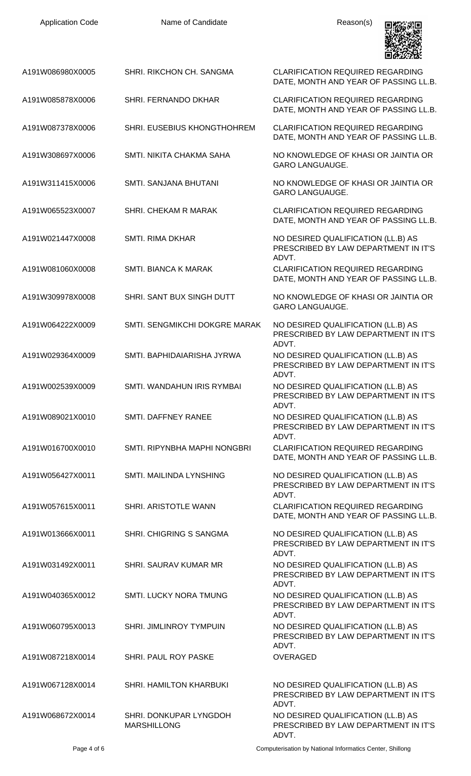| <b>Application Code</b> | Name of Candidate                            | Reason(s)                                                                                    |
|-------------------------|----------------------------------------------|----------------------------------------------------------------------------------------------|
| A191W086980X0005        | SHRI. RIKCHON CH. SANGMA                     | <b>CLARIFICATION REQUIRED REGARDING</b><br>DATE, MONTH AND YEAR OF PASSING LL.B.             |
| A191W085878X0006        | SHRI. FERNANDO DKHAR                         | <b>CLARIFICATION REQUIRED REGARDING</b><br>DATE, MONTH AND YEAR OF PASSING LL.B.             |
| A191W087378X0006        | SHRI. EUSEBIUS KHONGTHOHREM                  | <b>CLARIFICATION REQUIRED REGARDING</b><br>DATE, MONTH AND YEAR OF PASSING LL.B.             |
| A191W308697X0006        | SMTI. NIKITA CHAKMA SAHA                     | NO KNOWLEDGE OF KHASI OR JAINTIA OR<br><b>GARO LANGUAUGE.</b>                                |
| A191W311415X0006        | SMTI. SANJANA BHUTANI                        | NO KNOWLEDGE OF KHASI OR JAINTIA OR<br><b>GARO LANGUAUGE.</b>                                |
| A191W065523X0007        | SHRI. CHEKAM R MARAK                         | <b>CLARIFICATION REQUIRED REGARDING</b><br>DATE, MONTH AND YEAR OF PASSING LL.B.             |
| A191W021447X0008        | <b>SMTI. RIMA DKHAR</b>                      | NO DESIRED QUALIFICATION (LL.B) AS<br>PRESCRIBED BY LAW DEPARTMENT IN IT'S                   |
| A191W081060X0008        | <b>SMTI. BIANCA K MARAK</b>                  | ADVT.<br><b>CLARIFICATION REQUIRED REGARDING</b><br>DATE, MONTH AND YEAR OF PASSING LL.B.    |
| A191W309978X0008        | SHRI. SANT BUX SINGH DUTT                    | NO KNOWLEDGE OF KHASI OR JAINTIA OR<br><b>GARO LANGUAUGE.</b>                                |
| A191W064222X0009        | SMTI. SENGMIKCHI DOKGRE MARAK                | NO DESIRED QUALIFICATION (LL.B) AS<br>PRESCRIBED BY LAW DEPARTMENT IN IT'S<br>ADVT.          |
| A191W029364X0009        | SMTI, BAPHIDAIARISHA JYRWA                   | NO DESIRED QUALIFICATION (LL.B) AS<br>PRESCRIBED BY LAW DEPARTMENT IN IT'S<br>ADVT.          |
| A191W002539X0009        | SMTI. WANDAHUN IRIS RYMBAI                   | NO DESIRED QUALIFICATION (LL.B) AS<br>PRESCRIBED BY LAW DEPARTMENT IN IT'S                   |
| A191W089021X0010        | SMTI. DAFFNEY RANEE                          | ADVT.<br>NO DESIRED QUALIFICATION (LL.B) AS<br>PRESCRIBED BY LAW DEPARTMENT IN IT'S<br>ADVT. |
| A191W016700X0010        | SMTI. RIPYNBHA MAPHI NONGBRI                 | <b>CLARIFICATION REQUIRED REGARDING</b><br>DATE, MONTH AND YEAR OF PASSING LL.B.             |
| A191W056427X0011        | SMTI. MAILINDA LYNSHING                      | NO DESIRED QUALIFICATION (LL.B) AS<br>PRESCRIBED BY LAW DEPARTMENT IN IT'S<br>ADVT.          |
| A191W057615X0011        | SHRI. ARISTOTLE WANN                         | <b>CLARIFICATION REQUIRED REGARDING</b><br>DATE, MONTH AND YEAR OF PASSING LL.B.             |
| A191W013666X0011        | <b>SHRI. CHIGRING S SANGMA</b>               | NO DESIRED QUALIFICATION (LL.B) AS<br>PRESCRIBED BY LAW DEPARTMENT IN IT'S<br>ADVT.          |
| A191W031492X0011        | SHRI. SAURAV KUMAR MR                        | NO DESIRED QUALIFICATION (LL.B) AS<br>PRESCRIBED BY LAW DEPARTMENT IN IT'S                   |
| A191W040365X0012        | <b>SMTI. LUCKY NORA TMUNG</b>                | ADVT.<br>NO DESIRED QUALIFICATION (LL.B) AS<br>PRESCRIBED BY LAW DEPARTMENT IN IT'S<br>ADVT. |
| A191W060795X0013        | <b>SHRI. JIMLINROY TYMPUIN</b>               | NO DESIRED QUALIFICATION (LL.B) AS<br>PRESCRIBED BY LAW DEPARTMENT IN IT'S<br>ADVT.          |
| A191W087218X0014        | <b>SHRI. PAUL ROY PASKE</b>                  | <b>OVERAGED</b>                                                                              |
| A191W067128X0014        | <b>SHRI. HAMILTON KHARBUKI</b>               | NO DESIRED QUALIFICATION (LL.B) AS<br>PRESCRIBED BY LAW DEPARTMENT IN IT'S<br>ADVT.          |
| A191W068672X0014        | SHRI. DONKUPAR LYNGDOH<br><b>MARSHILLONG</b> | NO DESIRED QUALIFICATION (LL.B) AS<br>PRESCRIBED BY LAW DEPARTMENT IN IT'S                   |

ADVT.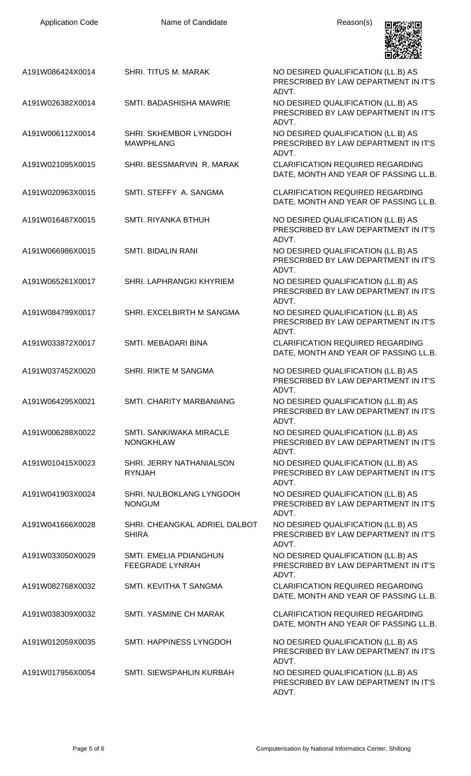| <b>Application Code</b> | Name of Candidate                                       | Reason(s)                                                                           |
|-------------------------|---------------------------------------------------------|-------------------------------------------------------------------------------------|
| A191W086424X0014        | <b>SHRI. TITUS M. MARAK</b>                             | NO DESIRED QUALIFICATION (LL.B) AS<br>PRESCRIBED BY LAW DEPARTMENT IN IT'S<br>ADVT. |
| A191W026382X0014        | SMTI. BADASHISHA MAWRIE                                 | NO DESIRED QUALIFICATION (LL.B) AS<br>PRESCRIBED BY LAW DEPARTMENT IN IT'S<br>ADVT. |
| A191W006112X0014        | SHRI. SKHEMBOR LYNGDOH<br><b>MAWPHLANG</b>              | NO DESIRED QUALIFICATION (LL.B) AS<br>PRESCRIBED BY LAW DEPARTMENT IN IT'S<br>ADVT. |
| A191W021095X0015        | SHRI. BESSMARVIN R. MARAK                               | <b>CLARIFICATION REQUIRED REGARDING</b><br>DATE, MONTH AND YEAR OF PASSING LL.B.    |
| A191W020963X0015        | SMTI. STEFFY A. SANGMA                                  | <b>CLARIFICATION REQUIRED REGARDING</b><br>DATE, MONTH AND YEAR OF PASSING LL.B.    |
| A191W016487X0015        | SMTI. RIYANKA BTHUH                                     | NO DESIRED QUALIFICATION (LL.B) AS<br>PRESCRIBED BY LAW DEPARTMENT IN IT'S<br>ADVT. |
| A191W066986X0015        | <b>SMTI. BIDALIN RANI</b>                               | NO DESIRED QUALIFICATION (LL.B) AS<br>PRESCRIBED BY LAW DEPARTMENT IN IT'S<br>ADVT. |
| A191W065261X0017        | SHRI. LAPHRANGKI KHYRIEM                                | NO DESIRED QUALIFICATION (LL.B) AS<br>PRESCRIBED BY LAW DEPARTMENT IN IT'S<br>ADVT. |
| A191W084799X0017        | SHRI. EXCELBIRTH M SANGMA                               | NO DESIRED QUALIFICATION (LL.B) AS<br>PRESCRIBED BY LAW DEPARTMENT IN IT'S<br>ADVT. |
| A191W033872X0017        | SMTI. MEBADARI BINA                                     | <b>CLARIFICATION REQUIRED REGARDING</b><br>DATE, MONTH AND YEAR OF PASSING LL.B.    |
| A191W037452X0020        | <b>SHRI. RIKTE M SANGMA</b>                             | NO DESIRED QUALIFICATION (LL.B) AS<br>PRESCRIBED BY LAW DEPARTMENT IN IT'S<br>ADVT. |
| A191W064295X0021        | SMTI. CHARITY MARBANIANG                                | NO DESIRED QUALIFICATION (LL.B) AS<br>PRESCRIBED BY LAW DEPARTMENT IN IT'S<br>ADVT. |
| A191W006288X0022        | <b>SMTI, SANKIWAKA MIRACLE</b><br><b>NONGKHLAW</b>      | NO DESIRED QUALIFICATION (LL.B) AS<br>PRESCRIBED BY LAW DEPARTMENT IN IT'S<br>ADVT. |
| A191W010415X0023        | SHRI. JERRY NATHANIALSON<br><b>RYNJAH</b>               | NO DESIRED QUALIFICATION (LL.B) AS<br>PRESCRIBED BY LAW DEPARTMENT IN IT'S<br>ADVT. |
| A191W041903X0024        | SHRI. NULBOKLANG LYNGDOH<br><b>NONGUM</b>               | NO DESIRED QUALIFICATION (LL.B) AS<br>PRESCRIBED BY LAW DEPARTMENT IN IT'S<br>ADVT. |
| A191W041666X0028        | SHRI. CHEANGKAL ADRIEL DALBOT<br><b>SHIRA</b>           | NO DESIRED QUALIFICATION (LL.B) AS<br>PRESCRIBED BY LAW DEPARTMENT IN IT'S<br>ADVT. |
| A191W033050X0029        | <b>SMTI. EMELIA PDIANGHUN</b><br><b>FEEGRADE LYNRAH</b> | NO DESIRED QUALIFICATION (LL.B) AS<br>PRESCRIBED BY LAW DEPARTMENT IN IT'S<br>ADVT. |
| A191W082768X0032        | SMTI. KEVITHA T SANGMA                                  | <b>CLARIFICATION REQUIRED REGARDING</b><br>DATE, MONTH AND YEAR OF PASSING LL.B.    |
| A191W038309X0032        | SMTI. YASMINE CH MARAK                                  | <b>CLARIFICATION REQUIRED REGARDING</b><br>DATE, MONTH AND YEAR OF PASSING LL.B.    |
| A191W012059X0035        | SMTI. HAPPINESS LYNGDOH                                 | NO DESIRED QUALIFICATION (LL.B) AS<br>PRESCRIBED BY LAW DEPARTMENT IN IT'S<br>ADVT. |
| A191W017956X0054        | SMTI. SIEWSPAHLIN KURBAH                                | NO DESIRED QUALIFICATION (LL.B) AS<br>PRESCRIBED BY LAW DEPARTMENT IN IT'S<br>ADVT. |